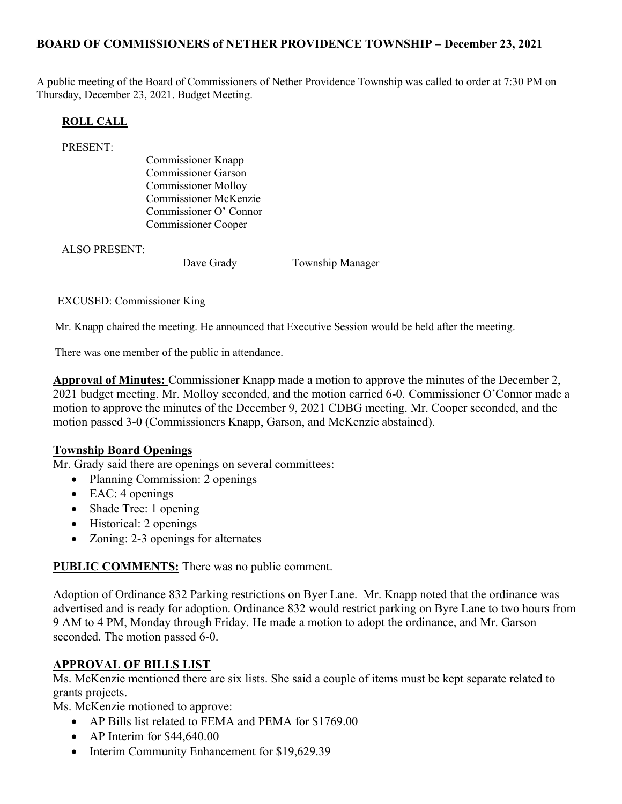# BOARD OF COMMISSIONERS of NETHER PROVIDENCE TOWNSHIP – December 23, 2021

A public meeting of the Board of Commissioners of Nether Providence Township was called to order at 7:30 PM on Thursday, December 23, 2021. Budget Meeting.

### ROLL CALL

PRESENT:

Commissioner Knapp Commissioner Garson Commissioner Molloy Commissioner McKenzie Commissioner O' Connor Commissioner Cooper

ALSO PRESENT:

Dave Grady **Township Manager** 

EXCUSED: Commissioner King

Mr. Knapp chaired the meeting. He announced that Executive Session would be held after the meeting.

There was one member of the public in attendance.

Approval of Minutes: Commissioner Knapp made a motion to approve the minutes of the December 2, 2021 budget meeting. Mr. Molloy seconded, and the motion carried 6-0. Commissioner O'Connor made a motion to approve the minutes of the December 9, 2021 CDBG meeting. Mr. Cooper seconded, and the motion passed 3-0 (Commissioners Knapp, Garson, and McKenzie abstained).

## Township Board Openings

Mr. Grady said there are openings on several committees:

- Planning Commission: 2 openings
- $\bullet$  EAC: 4 openings
- Shade Tree: 1 opening
- Historical: 2 openings
- Zoning: 2-3 openings for alternates

PUBLIC COMMENTS: There was no public comment.

Adoption of Ordinance 832 Parking restrictions on Byer Lane. Mr. Knapp noted that the ordinance was advertised and is ready for adoption. Ordinance 832 would restrict parking on Byre Lane to two hours from 9 AM to 4 PM, Monday through Friday. He made a motion to adopt the ordinance, and Mr. Garson seconded. The motion passed 6-0.

## APPROVAL OF BILLS LIST

Ms. McKenzie mentioned there are six lists. She said a couple of items must be kept separate related to grants projects.

Ms. McKenzie motioned to approve:

- AP Bills list related to FEMA and PEMA for \$1769.00
- $\bullet$  AP Interim for \$44,640.00
- Interim Community Enhancement for \$19,629.39